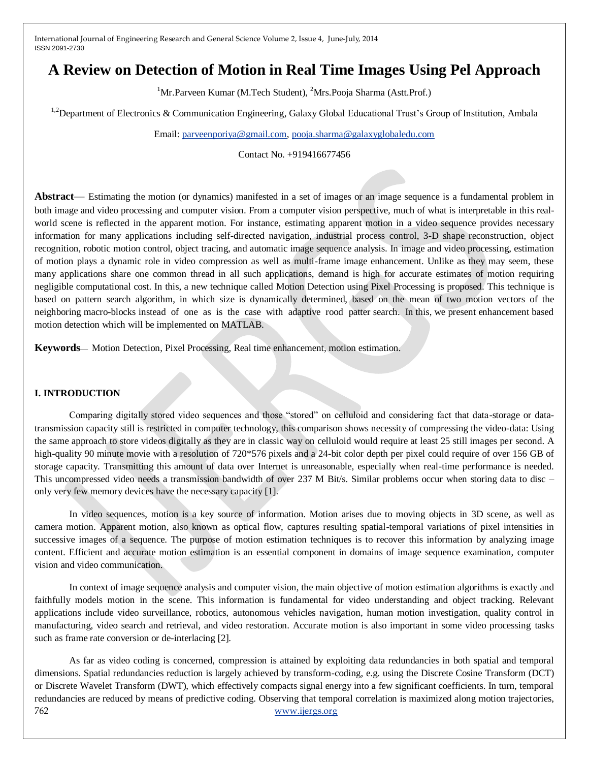# **A Review on Detection of Motion in Real Time Images Using Pel Approach**

<sup>1</sup>Mr.Parveen Kumar (M.Tech Student), <sup>2</sup>Mrs.Pooja Sharma (Astt.Prof.)

<sup>1,2</sup>Department of Electronics & Communication Engineering, Galaxy Global Educational Trust's Group of Institution, Ambala

Email: [parveenporiya@gmail.com,](mailto:parveenporiya@gmail.com) [pooja.sharma@galaxyglobaledu.com](mailto:pooja.sharma@galaxyglobaledu.com)

Contact No. +919416677456

**Abstract**— Estimating the motion (or dynamics) manifested in a set of images or an image sequence is a fundamental problem in both image and video processing and computer vision. From a computer vision perspective, much of what is interpretable in this realworld scene is reflected in the apparent motion. For instance, estimating apparent motion in a video sequence provides necessary information for many applications including self-directed navigation, industrial process control, 3-D shape reconstruction, object recognition, robotic motion control, object tracing, and automatic image sequence analysis. In image and video processing, estimation of motion plays a dynamic role in video compression as well as multi-frame image enhancement. Unlike as they may seem, these many applications share one common thread in all such applications, demand is high for accurate estimates of motion requiring negligible computational cost. In this, a new technique called Motion Detection using Pixel Processing is proposed. This technique is based on pattern search algorithm, in which size is dynamically determined, based on the mean of two motion vectors of the neighboring macro-blocks instead of one as is the case with adaptive rood patter search. In this, we present enhancement based motion detection which will be implemented on MATLAB.

**Keywords**— Motion Detection, Pixel Processing, Real time enhancement, motion estimation.

# **I. INTRODUCTION**

Comparing digitally stored video sequences and those "stored" on celluloid and considering fact that data-storage or datatransmission capacity still is restricted in computer technology, this comparison shows necessity of compressing the video-data: Using the same approach to store videos digitally as they are in classic way on celluloid would require at least 25 still images per second. A high-quality 90 minute movie with a resolution of 720\*576 pixels and a 24-bit color depth per pixel could require of over 156 GB of storage capacity. Transmitting this amount of data over Internet is unreasonable, especially when real-time performance is needed. This uncompressed video needs a transmission bandwidth of over 237 M Bit/s. Similar problems occur when storing data to disc – only very few memory devices have the necessary capacity [1].

In video sequences, motion is a key source of information. Motion arises due to moving objects in 3D scene, as well as camera motion. Apparent motion, also known as optical flow, captures resulting spatial-temporal variations of pixel intensities in successive images of a sequence. The purpose of motion estimation techniques is to recover this information by analyzing image content. Efficient and accurate motion estimation is an essential component in domains of image sequence examination, computer vision and video communication.

In context of image sequence analysis and computer vision, the main objective of motion estimation algorithms is exactly and faithfully models motion in the scene. This information is fundamental for video understanding and object tracking. Relevant applications include video surveillance, robotics, autonomous vehicles navigation, human motion investigation, quality control in manufacturing, video search and retrieval, and video restoration. Accurate motion is also important in some video processing tasks such as frame rate conversion or de-interlacing [2].

762 [www.ijergs.org](http://www.ijergs.org/) As far as video coding is concerned, compression is attained by exploiting data redundancies in both spatial and temporal dimensions. Spatial redundancies reduction is largely achieved by transform-coding, e.g. using the Discrete Cosine Transform (DCT) or Discrete Wavelet Transform (DWT), which effectively compacts signal energy into a few significant coefficients. In turn, temporal redundancies are reduced by means of predictive coding. Observing that temporal correlation is maximized along motion trajectories,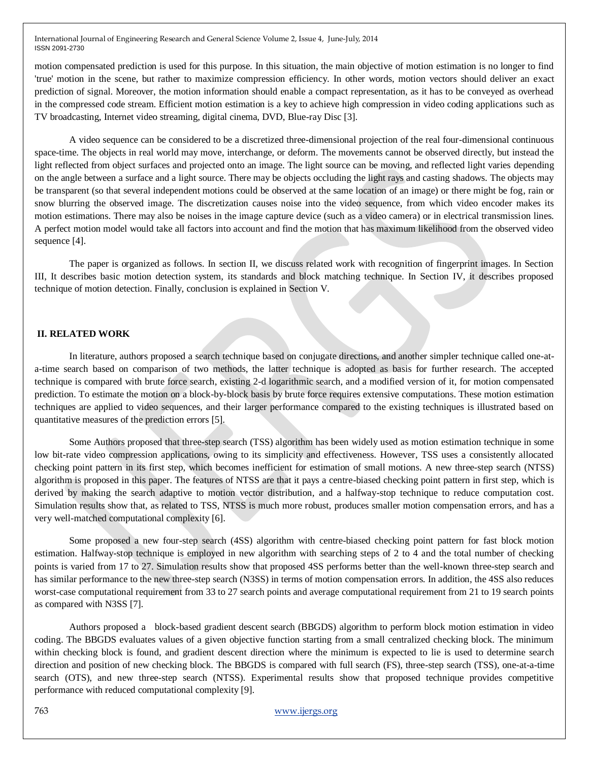motion compensated prediction is used for this purpose. In this situation, the main objective of motion estimation is no longer to find 'true' motion in the scene, but rather to maximize compression efficiency. In other words, motion vectors should deliver an exact prediction of signal. Moreover, the motion information should enable a compact representation, as it has to be conveyed as overhead in the compressed code stream. Efficient motion estimation is a key to achieve high compression in video coding applications such as TV broadcasting, Internet video streaming, digital cinema, DVD, Blue-ray Disc [3].

A video sequence can be considered to be a discretized three-dimensional projection of the real four-dimensional continuous space-time. The objects in real world may move, interchange, or deform. The movements cannot be observed directly, but instead the light reflected from object surfaces and projected onto an image. The light source can be moving, and reflected light varies depending on the angle between a surface and a light source. There may be objects occluding the light rays and casting shadows. The objects may be transparent (so that several independent motions could be observed at the same location of an image) or there might be fog, rain or snow blurring the observed image. The discretization causes noise into the video sequence, from which video encoder makes its motion estimations. There may also be noises in the image capture device (such as a video camera) or in electrical transmission lines. A perfect motion model would take all factors into account and find the motion that has maximum likelihood from the observed video sequence [4].

The paper is organized as follows. In section II, we discuss related work with recognition of fingerprint images. In Section III, It describes basic motion detection system, its standards and block matching technique. In Section IV, it describes proposed technique of motion detection. Finally, conclusion is explained in Section V.

# **II. RELATED WORK**

In literature, authors proposed a search technique based on conjugate directions, and another simpler technique called one-ata-time search based on comparison of two methods, the latter technique is adopted as basis for further research. The accepted technique is compared with brute force search, existing 2-d logarithmic search, and a modified version of it, for motion compensated prediction. To estimate the motion on a block-by-block basis by brute force requires extensive computations. These motion estimation techniques are applied to video sequences, and their larger performance compared to the existing techniques is illustrated based on quantitative measures of the prediction errors [5].

Some Authors proposed that three-step search (TSS) algorithm has been widely used as motion estimation technique in some low bit-rate video compression applications, owing to its simplicity and effectiveness. However, TSS uses a consistently allocated checking point pattern in its first step, which becomes inefficient for estimation of small motions. A new three-step search (NTSS) algorithm is proposed in this paper. The features of NTSS are that it pays a centre-biased checking point pattern in first step, which is derived by making the search adaptive to motion vector distribution, and a halfway-stop technique to reduce computation cost. Simulation results show that, as related to TSS, NTSS is much more robust, produces smaller motion compensation errors, and has a very well-matched computational complexity [6].

Some proposed a new four-step search (4SS) algorithm with centre-biased checking point pattern for fast block motion estimation. Halfway-stop technique is employed in new algorithm with searching steps of 2 to 4 and the total number of checking points is varied from 17 to 27. Simulation results show that proposed 4SS performs better than the well-known three-step search and has similar performance to the new three-step search (N3SS) in terms of motion compensation errors. In addition, the 4SS also reduces worst-case computational requirement from 33 to 27 search points and average computational requirement from 21 to 19 search points as compared with N3SS [7].

Authors proposed a block-based gradient descent search (BBGDS) algorithm to perform block motion estimation in video coding. The BBGDS evaluates values of a given objective function starting from a small centralized checking block. The minimum within checking block is found, and gradient descent direction where the minimum is expected to lie is used to determine search direction and position of new checking block. The BBGDS is compared with full search (FS), three-step search (TSS), one-at-a-time search (OTS), and new three-step search (NTSS). Experimental results show that proposed technique provides competitive performance with reduced computational complexity [9].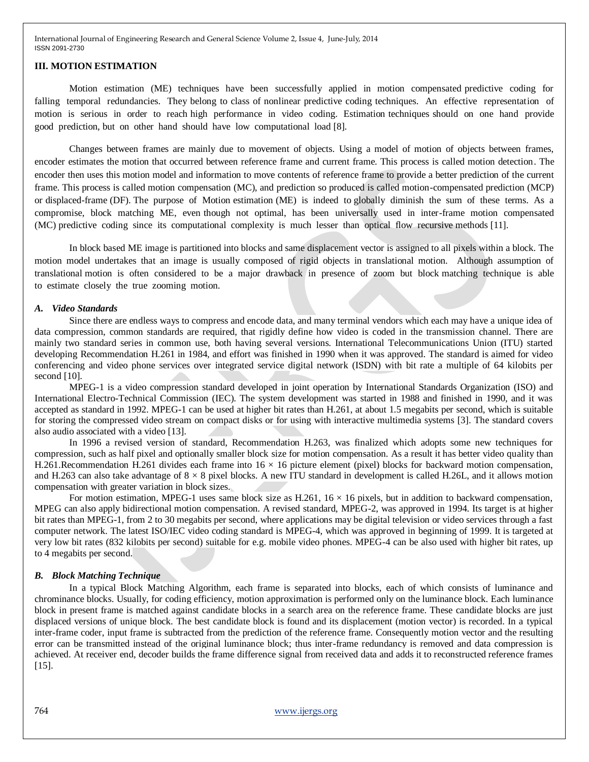#### **III. MOTION ESTIMATION**

Motion estimation (ME) techniques have been successfully applied in motion compensated predictive coding for falling temporal redundancies. They belong to class of nonlinear predictive coding techniques. An effective representation of motion is serious in order to reach high performance in video coding. Estimation techniques should on one hand provide good prediction, but on other hand should have low computational load [8].

Changes between frames are mainly due to movement of objects. Using a model of motion of objects between frames, encoder estimates the motion that occurred between reference frame and current frame. This process is called motion detection. The encoder then uses this motion model and information to move contents of reference frame to provide a better prediction of the current frame. This process is called motion compensation (MC), and prediction so produced is called motion-compensated prediction (MCP) or displaced-frame (DF). The purpose of Motion estimation (ME) is indeed to globally diminish the sum of these terms. As a compromise, block matching ME, even though not optimal, has been universally used in inter-frame motion compensated (MC) predictive coding since its computational complexity is much lesser than optical flow recursive methods [11].

In block based ME image is partitioned into blocks and same displacement vector is assigned to all pixels within a block. The motion model undertakes that an image is usually composed of rigid objects in translational motion. Although assumption of translational motion is often considered to be a major drawback in presence of zoom but block matching technique is able to estimate closely the true zooming motion.

#### *A. Video Standards*

Since there are endless ways to compress and encode data, and many terminal vendors which each may have a unique idea of data compression, common standards are required, that rigidly define how video is coded in the transmission channel. There are mainly two standard series in common use, both having several versions. International Telecommunications Union (ITU) started developing Recommendation H.261 in 1984, and effort was finished in 1990 when it was approved. The standard is aimed for video conferencing and video phone services over integrated service digital network (ISDN) with bit rate a multiple of 64 kilobits per second [10].

MPEG-1 is a video compression standard developed in joint operation by International Standards Organization (ISO) and International Electro-Technical Commission (IEC). The system development was started in 1988 and finished in 1990, and it was accepted as standard in 1992. MPEG-1 can be used at higher bit rates than H.261, at about 1.5 megabits per second, which is suitable for storing the compressed video stream on compact disks or for using with interactive multimedia systems [3]. The standard covers also audio associated with a video [13].

In 1996 a revised version of standard, Recommendation H.263, was finalized which adopts some new techniques for compression, such as half pixel and optionally smaller block size for motion compensation. As a result it has better video quality than H.261.Recommendation H.261 divides each frame into  $16 \times 16$  picture element (pixel) blocks for backward motion compensation, and H.263 can also take advantage of  $8 \times 8$  pixel blocks. A new ITU standard in development is called H.26L, and it allows motion compensation with greater variation in block sizes.

For motion estimation, MPEG-1 uses same block size as H.261,  $16 \times 16$  pixels, but in addition to backward compensation, MPEG can also apply bidirectional motion compensation. A revised standard, MPEG-2, was approved in 1994. Its target is at higher bit rates than MPEG-1, from 2 to 30 megabits per second, where applications may be digital television or video services through a fast computer network. The latest ISO/IEC video coding standard is MPEG-4, which was approved in beginning of 1999. It is targeted at very low bit rates (832 kilobits per second) suitable for e.g. mobile video phones. MPEG-4 can be also used with higher bit rates, up to 4 megabits per second.

#### *B. Block Matching Technique*

In a typical Block Matching Algorithm, each frame is separated into blocks, each of which consists of luminance and chrominance blocks. Usually, for coding efficiency, motion approximation is performed only on the luminance block. Each luminance block in present frame is matched against candidate blocks in a search area on the reference frame. These candidate blocks are just displaced versions of unique block. The best candidate block is found and its displacement (motion vector) is recorded. In a typical inter-frame coder, input frame is subtracted from the prediction of the reference frame. Consequently motion vector and the resulting error can be transmitted instead of the original luminance block; thus inter-frame redundancy is removed and data compression is achieved. At receiver end, decoder builds the frame difference signal from received data and adds it to reconstructed reference frames [15].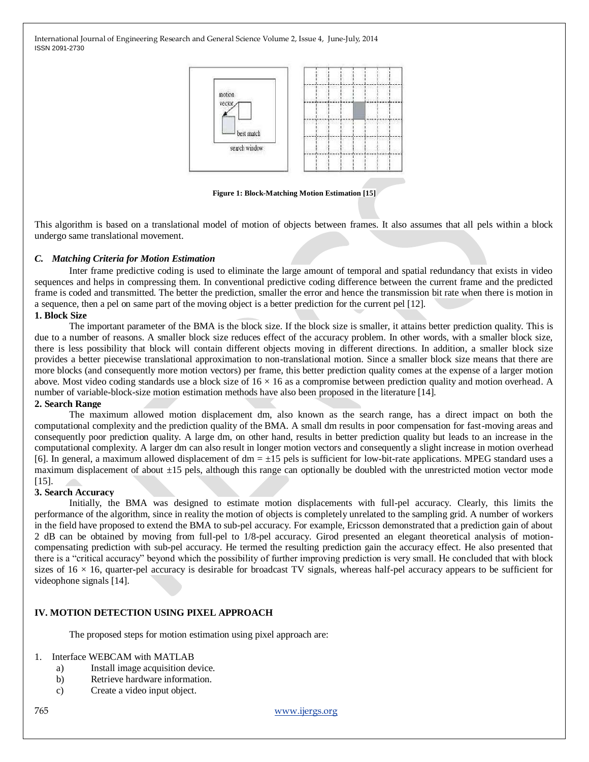

**Figure 1: Block-Matching Motion Estimation [15]**

This algorithm is based on a translational model of motion of objects between frames. It also assumes that all pels within a block undergo same translational movement.

## *C. Matching Criteria for Motion Estimation*

Inter frame predictive coding is used to eliminate the large amount of temporal and spatial redundancy that exists in video sequences and helps in compressing them. In conventional predictive coding difference between the current frame and the predicted frame is coded and transmitted. The better the prediction, smaller the error and hence the transmission bit rate when there is motion in a sequence, then a pel on same part of the moving object is a better prediction for the current pel [12].

## **1. Block Size**

The important parameter of the BMA is the block size. If the block size is smaller, it attains better prediction quality. This is due to a number of reasons. A smaller block size reduces effect of the accuracy problem. In other words, with a smaller block size, there is less possibility that block will contain different objects moving in different directions. In addition, a smaller block size provides a better piecewise translational approximation to non-translational motion. Since a smaller block size means that there are more blocks (and consequently more motion vectors) per frame, this better prediction quality comes at the expense of a larger motion above. Most video coding standards use a block size of  $16 \times 16$  as a compromise between prediction quality and motion overhead. A number of variable-block-size motion estimation methods have also been proposed in the literature [14].

#### **2. Search Range**

The maximum allowed motion displacement dm, also known as the search range, has a direct impact on both the computational complexity and the prediction quality of the BMA. A small dm results in poor compensation for fast-moving areas and consequently poor prediction quality. A large dm, on other hand, results in better prediction quality but leads to an increase in the computational complexity. A larger dm can also result in longer motion vectors and consequently a slight increase in motion overhead [6]. In general, a maximum allowed displacement of  $dm = \pm 15$  pels is sufficient for low-bit-rate applications. MPEG standard uses a maximum displacement of about  $\pm 15$  pels, although this range can optionally be doubled with the unrestricted motion vector mode [15].

#### **3. Search Accuracy**

Initially, the BMA was designed to estimate motion displacements with full-pel accuracy. Clearly, this limits the performance of the algorithm, since in reality the motion of objects is completely unrelated to the sampling grid. A number of workers in the field have proposed to extend the BMA to sub-pel accuracy. For example, Ericsson demonstrated that a prediction gain of about 2 dB can be obtained by moving from full-pel to 1/8-pel accuracy. Girod presented an elegant theoretical analysis of motioncompensating prediction with sub-pel accuracy. He termed the resulting prediction gain the accuracy effect. He also presented that there is a "critical accuracy" beyond which the possibility of further improving prediction is very small. He concluded that with block sizes of  $16 \times 16$ , quarter-pel accuracy is desirable for broadcast TV signals, whereas half-pel accuracy appears to be sufficient for videophone signals [14].

# **IV. MOTION DETECTION USING PIXEL APPROACH**

The proposed steps for motion estimation using pixel approach are:

# 1. Interface WEBCAM with MATLAB

- a) Install image acquisition device.
- b) Retrieve hardware information.
- c) Create a video input object.

765 [www.ijergs.org](http://www.ijergs.org/)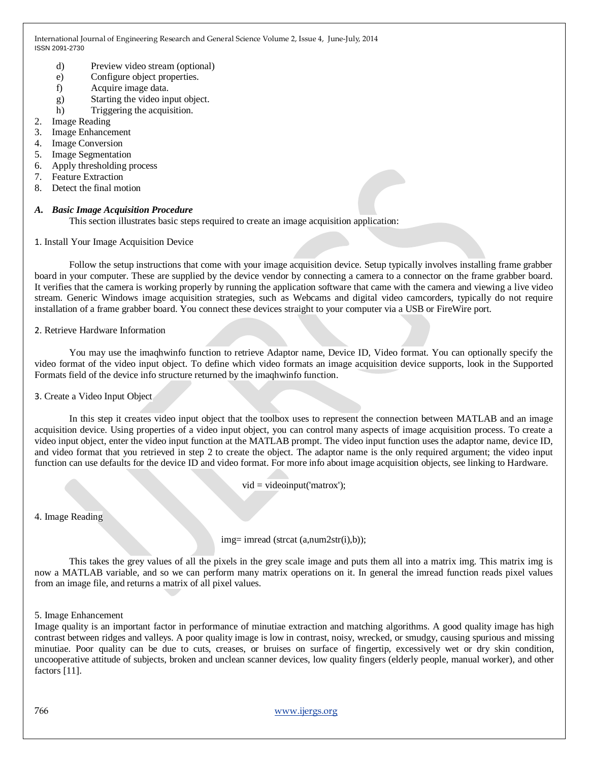- d) Preview video stream (optional)
- e) Configure object properties.
- f) Acquire image data.
- g) Starting the video input object.
- h) Triggering the acquisition.
- 2. Image Reading
- 3. Image Enhancement
- 4. Image Conversion
- 5. Image Segmentation
- 6. Apply thresholding process
- 7. Feature Extraction
- 8. Detect the final motion

# *A. Basic Image Acquisition Procedure*

This section illustrates basic steps required to create an image acquisition application:

## 1. Install Your Image Acquisition Device

Follow the setup instructions that come with your image acquisition device. Setup typically involves installing frame grabber board in your computer. These are supplied by the device vendor by connecting a camera to a connector on the frame grabber board. It verifies that the camera is working properly by running the application software that came with the camera and viewing a live video stream. Generic Windows image acquisition strategies, such as Webcams and digital video camcorders, typically do not require installation of a frame grabber board. You connect these devices straight to your computer via a USB or FireWire port.

# 2. Retrieve Hardware Information

You may use the imaqhwinfo function to retrieve Adaptor name, Device ID, Video format. You can optionally specify the video format of the video input object. To define which video formats an image acquisition device supports, look in the Supported Formats field of the device info structure returned by the imaqhwinfo function.

# 3. Create a Video Input Object

In this step it creates video input object that the toolbox uses to represent the connection between MATLAB and an image acquisition device. Using properties of a video input object, you can control many aspects of image acquisition process. To create a video input object, enter the video input function at the MATLAB prompt. The video input function uses the adaptor name, device ID, and video format that you retrieved in step 2 to create the object. The adaptor name is the only required argument; the video input function can use defaults for the device ID and video format. For more info about image acquisition objects, see linking to Hardware.

 $vid = videoinput('matrox');$ 

4. Image Reading

img= imread (strcat (a,num2str(i),b));

This takes the grey values of all the pixels in the grey scale image and puts them all into a matrix img. This matrix img is now a MATLAB variable, and so we can perform many matrix operations on it. In general the imread function reads pixel values from an image file, and returns a matrix of all pixel values.

# 5. Image Enhancement

Image quality is an important factor in performance of minutiae extraction and matching algorithms. A good quality image has high contrast between ridges and valleys. A poor quality image is low in contrast, noisy, wrecked, or smudgy, causing spurious and missing minutiae. Poor quality can be due to cuts, creases, or bruises on surface of fingertip, excessively wet or dry skin condition, uncooperative attitude of subjects, broken and unclean scanner devices, low quality fingers (elderly people, manual worker), and other factors [11].

766 [www.ijergs.org](http://www.ijergs.org/)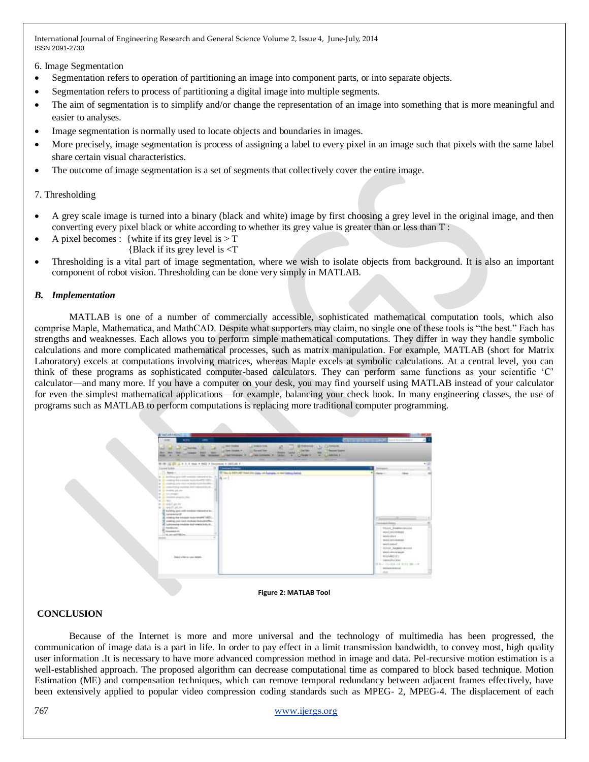6. Image Segmentation

- Segmentation refers to operation of partitioning an image into component parts, or into separate objects.
- Segmentation refers to process of partitioning a digital image into multiple segments.
- The aim of segmentation is to simplify and/or change the representation of an image into something that is more meaningful and easier to analyses.
- Image segmentation is normally used to locate objects and boundaries in images.
- More precisely, image segmentation is process of assigning a label to every pixel in an image such that pixels with the same label share certain visual characteristics.
- The outcome of image segmentation is a set of segments that collectively cover the entire image.

## 7. Thresholding

- A grey scale image is turned into a binary (black and white) image by first choosing a grey level in the original image, and then converting every pixel black or white according to whether its grey value is greater than or less than T :
- A pixel becomes : {white if its grey level is  $> T$ 
	- {Black if its grey level is <T
- Thresholding is a vital part of image segmentation, where we wish to isolate objects from background. It is also an important component of robot vision. Thresholding can be done very simply in MATLAB.

## *B. Implementation*

MATLAB is one of a number of commercially accessible, sophisticated mathematical computation tools, which also comprise Maple, Mathematica, and MathCAD. Despite what supporters may claim, no single one of these tools is "the best." Each has strengths and weaknesses. Each allows you to perform simple mathematical computations. They differ in way they handle symbolic calculations and more complicated mathematical processes, such as matrix manipulation. For example, MATLAB (short for Matrix Laboratory) excels at computations involving matrices, whereas Maple excels at symbolic calculations. At a central level, you can think of these programs as sophisticated computer-based calculators. They can perform same functions as your scientific ‗C' calculator—and many more. If you have a computer on your desk, you may find yourself using MATLAB instead of your calculator for even the simplest mathematical applications—for example, balancing your check book. In many engineering classes, the use of programs such as MATLAB to perform computations is replacing more traditional computer programming.

| Comer Links<br><b>HALL</b><br>men.<br>$-200$<br><b>HORA</b><br><b>WILLIA</b><br><b>TAX CONSUMER</b>                                                                                                                                                                                                                                                                                                                                                                                                                                                                          | <b>Recard Tree</b><br><b><i><u>Depart Later</u></i></b><br><b>Text Tennis +</b><br><b>Claries</b><br><b>MAIL</b><br>ــ<br>-<br><b>Commercial</b><br><b>Laster</b><br><b>Sale Continents: 18</b><br><br><b>JOAN MARKET</b><br>A LIQUARER<br><b>COLORADO</b><br><b>COLORADO</b><br><br>--- |        |                                                                                                                                                                          |
|------------------------------------------------------------------------------------------------------------------------------------------------------------------------------------------------------------------------------------------------------------------------------------------------------------------------------------------------------------------------------------------------------------------------------------------------------------------------------------------------------------------------------------------------------------------------------|------------------------------------------------------------------------------------------------------------------------------------------------------------------------------------------------------------------------------------------------------------------------------------------|--------|--------------------------------------------------------------------------------------------------------------------------------------------------------------------------|
| 00 IS 23 - 8 0 1 - 000 + 002 + 000 percent + 140 per +<br><b><i><u>Contact Collection</u></i></b>                                                                                                                                                                                                                                                                                                                                                                                                                                                                            | <b>Colombia Books</b>                                                                                                                                                                                                                                                                    |        | Territoria del                                                                                                                                                           |
| 175 Novel 11<br>in the deadline give collected to the end of the<br>2 metro for naskin watched to 1971.<br>conditions are the second and the fundamental ERA<br>A reserved a models in a released do of-<br><b>B</b> In every joint<br>a processi<br>A a more attended<br>$= 2 - 0.0$<br>of a world at he<br><b>Read ator</b><br>IT habita are not needed meant a to-<br><b>Scalendard</b><br>If young to color top pump (42).<br>If contractor partnership buildings<br>A substituting interior individuals of<br>2 moderns<br><b>Rounderbury</b><br>the ant-audit Million. | El Vascio Mill All Vasci den Lipo, nel Lunges, el Val Liston, Lakal.<br>A or L                                                                                                                                                                                                           | $\sim$ | <b>Retail</b><br><b>Taker</b><br>HO-<br>Factory of the<br>bearing and depress.<br>TILLIC Dealers admission<br>walisiasan<br>workers.<br>---                              |
| beard of his in-sea stable.<br>.                                                                                                                                                                                                                                                                                                                                                                                                                                                                                                                                             |                                                                                                                                                                                                                                                                                          |        | middlepead".<br>VIENE SAUNAISSAN<br><b>McGiamcromor-</b><br><b>BOOMBEFEET</b><br>$-$ 0800 of 1116 to<br>10 h v: Steeled vid three ide -- in<br>porazonkima<br>Waller Co. |

#### **Figure 2: MATLAB Tool**

# **CONCLUSION**

Because of the Internet is more and more universal and the technology of multimedia has been progressed, the communication of image data is a part in life. In order to pay effect in a limit transmission bandwidth, to convey most, high quality user information .It is necessary to have more advanced compression method in image and data. Pel-recursive motion estimation is a well-established approach. The proposed algorithm can decrease computational time as compared to block based technique. Motion Estimation (ME) and compensation techniques, which can remove temporal redundancy between adjacent frames effectively, have been extensively applied to popular video compression coding standards such as MPEG- 2, MPEG-4. The displacement of each